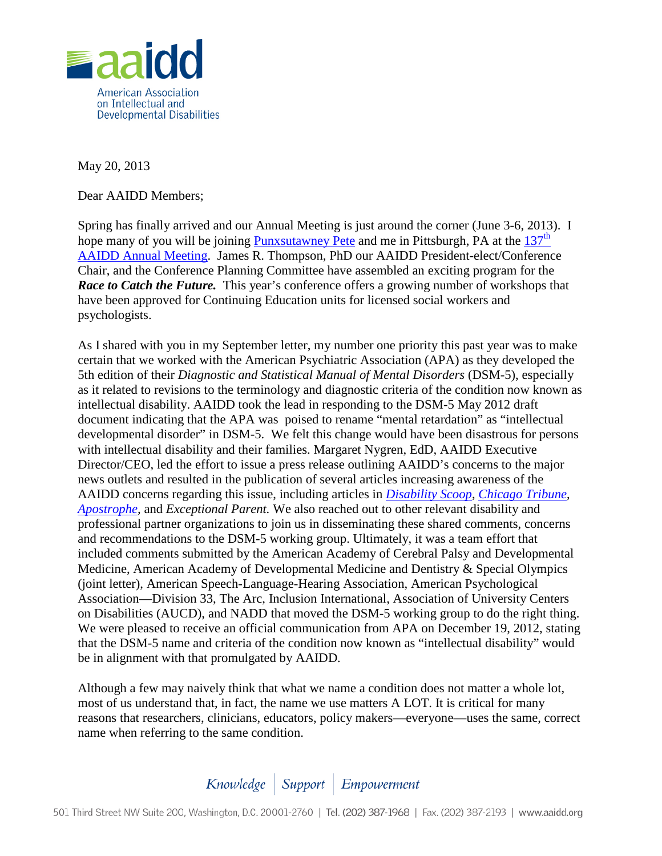

May 20, 2013

Dear AAIDD Members;

Spring has finally arrived and our Annual Meeting is just around the corner (June 3-6, 2013). I hope many of you will be joining [Punxsutawney Pete](http://www.youtube.com/watch?v=8ArkLrk-Uv4) and me in Pittsburgh, PA at the  $137<sup>th</sup>$ [AAIDD Annual Meeting.](http://www.aaidd.org/content_6546.cfm?navID=75) James R. Thompson, PhD our AAIDD President-elect/Conference Chair, and the Conference Planning Committee have assembled an exciting program for the *Race to Catch the Future.* This year's conference offers a growing number of workshops that have been approved for Continuing Education units for licensed social workers and psychologists.

As I shared with you in my September letter, my number one priority this past year was to make certain that we worked with the American Psychiatric Association (APA) as they developed the 5th edition of their *Diagnostic and Statistical Manual of Mental Disorders* (DSM-5), especially as it related to revisions to the terminology and diagnostic criteria of the condition now known as intellectual disability. AAIDD took the lead in responding to the DSM-5 May 2012 draft document indicating that the APA was poised to rename "mental retardation" as "intellectual developmental disorder" in DSM-5. We felt this change would have been disastrous for persons with intellectual disability and their families. Margaret Nygren, EdD, AAIDD Executive Director/CEO, led the effort to issue a press release outlining AAIDD's concerns to the major news outlets and resulted in the publication of several articles increasing awareness of the AAIDD concerns regarding this issue, including articles in *[Disability Scoop](http://www.disabilityscoop.com/2012/05/29/dsm-mental-retardation-update/15718)*, *[Chicago Tribune](http://articles.chicagotribune.com/2012-05-17/news/chi-120517nygren_briefs_1_intellectual-term-mental-retardation-finalizes)*, *[Apostrophe,](http://apostrophemagazine.blogspot.com/2012/05/aaidd-calls-upon-apa-to-revise-proposed.html)* and *Exceptional Parent.* We also reached out to other relevant disability and professional partner organizations to join us in disseminating these shared comments, concerns and recommendations to the DSM-5 working group. Ultimately, it was a team effort that included comments submitted by the American Academy of Cerebral Palsy and Developmental Medicine, American Academy of Developmental Medicine and Dentistry & Special Olympics (joint letter), American Speech-Language-Hearing Association, American Psychological Association—Division 33, The Arc, Inclusion International, Association of University Centers on Disabilities (AUCD), and NADD that moved the DSM-5 working group to do the right thing. We were pleased to receive an official communication from APA on December 19, 2012, stating that the DSM-5 name and criteria of the condition now known as "intellectual disability" would be in alignment with that promulgated by AAIDD*.* 

Although a few may naively think that what we name a condition does not matter a whole lot, most of us understand that, in fact, the name we use matters A LOT. It is critical for many reasons that researchers, clinicians, educators, policy makers—everyone—uses the same, correct name when referring to the same condition.

## Knowledge | Support | Empowerment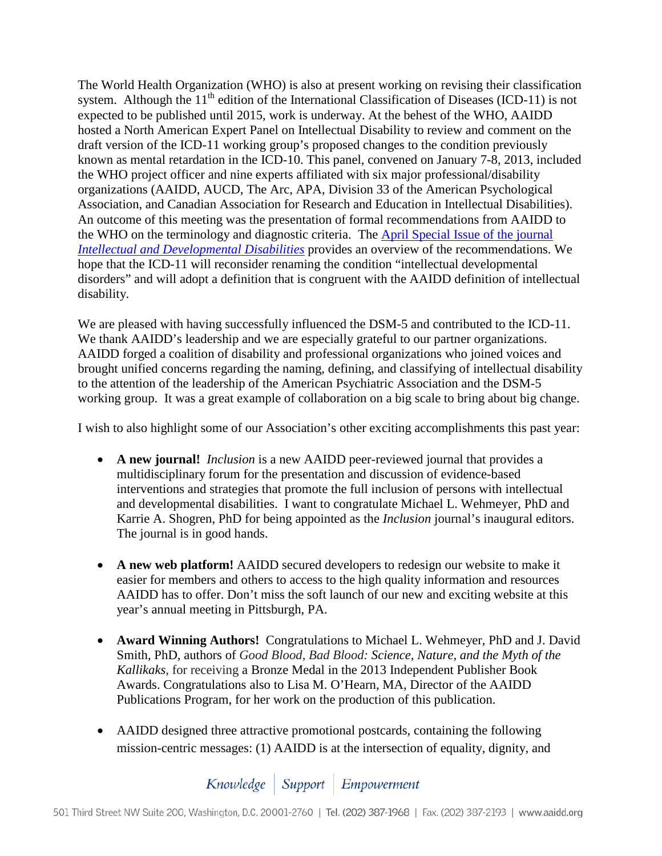The World Health Organization (WHO) is also at present working on revising their classification system. Although the  $11<sup>th</sup>$  edition of the International Classification of Diseases (ICD-11) is not expected to be published until 2015, work is underway. At the behest of the WHO, AAIDD hosted a North American Expert Panel on Intellectual Disability to review and comment on the draft version of the ICD-11 working group's proposed changes to the condition previously known as mental retardation in the ICD-10. This panel, convened on January 7-8, 2013, included the WHO project officer and nine experts affiliated with six major professional/disability organizations (AAIDD, AUCD, The Arc, APA, Division 33 of the American Psychological Association, and Canadian Association for Research and Education in Intellectual Disabilities). An outcome of this meeting was the presentation of formal recommendations from AAIDD to the WHO on the terminology and diagnostic criteria. The [April Special Issue of the journal](http://aaiddjournals.org/toc/mere/51/2)  *[Intellectual and Developmental Disabilities](http://aaiddjournals.org/toc/mere/51/2)* provides an overview of the recommendations. We hope that the ICD-11 will reconsider renaming the condition "intellectual developmental disorders" and will adopt a definition that is congruent with the AAIDD definition of intellectual disability.

We are pleased with having successfully influenced the DSM-5 and contributed to the ICD-11. We thank AAIDD's leadership and we are especially grateful to our partner organizations. AAIDD forged a coalition of disability and professional organizations who joined voices and brought unified concerns regarding the naming, defining, and classifying of intellectual disability to the attention of the leadership of the American Psychiatric Association and the DSM-5 working group. It was a great example of collaboration on a big scale to bring about big change.

I wish to also highlight some of our Association's other exciting accomplishments this past year:

- **A new journal!** *Inclusion* is a new AAIDD peer-reviewed journal that provides a multidisciplinary forum for the presentation and discussion of evidence-based interventions and strategies that promote the full inclusion of persons with intellectual and developmental disabilities. I want to congratulate Michael L. Wehmeyer, PhD and Karrie A. Shogren, PhD for being appointed as the *Inclusion* journal's inaugural editors. The journal is in good hands.
- **A new web platform!** AAIDD secured developers to redesign our website to make it easier for members and others to access to the high quality information and resources AAIDD has to offer. Don't miss the soft launch of our new and exciting website at this year's annual meeting in Pittsburgh, PA.
- **Award Winning Authors!** Congratulations to Michael L. Wehmeyer, PhD and J. David Smith, PhD, authors of *Good Blood, Bad Blood: Science, Nature, and the Myth of the Kallikaks,* for receiving a Bronze Medal in the 2013 Independent Publisher Book Awards. Congratulations also to Lisa M. O'Hearn, MA, Director of the AAIDD Publications Program, for her work on the production of this publication.
- AAIDD designed three attractive promotional postcards, containing the following mission-centric messages: (1) AAIDD is at the intersection of equality, dignity, and

Knowledge | Support | Empowerment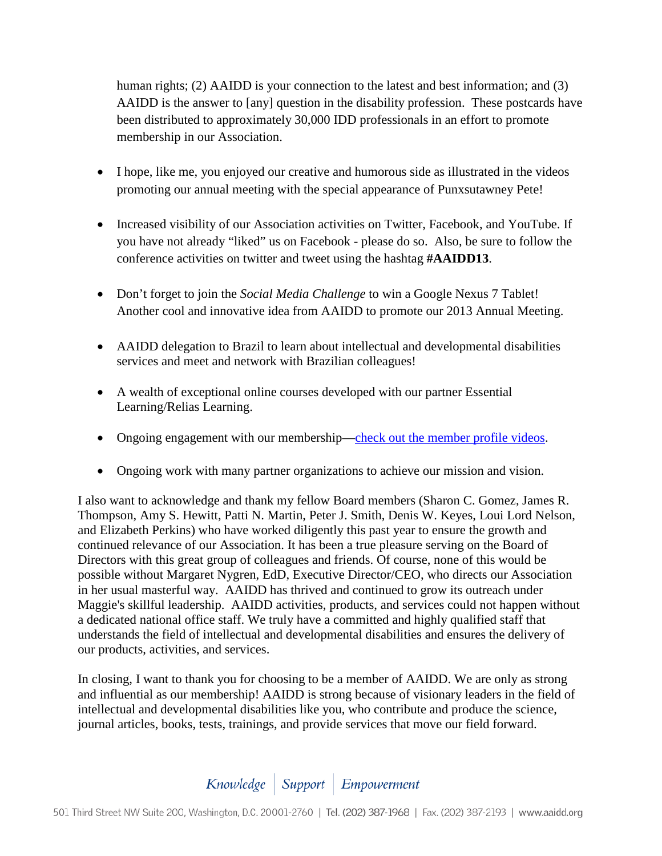human rights; (2) AAIDD is your connection to the latest and best information; and (3) AAIDD is the answer to [any] question in the disability profession. These postcards have been distributed to approximately 30,000 IDD professionals in an effort to promote membership in our Association.

- I hope, like me, you enjoyed our creative and humorous side as illustrated in the videos promoting our annual meeting with the special appearance of Punxsutawney Pete!
- Increased visibility of our Association activities on Twitter, Facebook, and YouTube. If you have not already "liked" us on Facebook - please do so. Also, be sure to follow the conference activities on twitter and tweet using the hashtag **#AAIDD13**.
- Don't forget to join the *Social Media Challenge* to win a Google Nexus 7 Tablet! Another cool and innovative idea from AAIDD to promote our 2013 Annual Meeting.
- AAIDD delegation to Brazil to learn about intellectual and developmental disabilities services and meet and network with Brazilian colleagues!
- A wealth of exceptional online courses developed with our partner Essential Learning/Relias Learning.
- Ongoing engagement with our membership[—check out the member profile videos.](http://www.youtube.com/watch?v=TOJpOPWio9w)
- Ongoing work with many partner organizations to achieve our mission and vision.

I also want to acknowledge and thank my fellow Board members (Sharon C. Gomez, James R. Thompson, Amy S. Hewitt, Patti N. Martin, Peter J. Smith, Denis W. Keyes, Loui Lord Nelson, and Elizabeth Perkins) who have worked diligently this past year to ensure the growth and continued relevance of our Association. It has been a true pleasure serving on the Board of Directors with this great group of colleagues and friends. Of course, none of this would be possible without Margaret Nygren, EdD, Executive Director/CEO, who directs our Association in her usual masterful way. AAIDD has thrived and continued to grow its outreach under Maggie's skillful leadership. AAIDD activities, products, and services could not happen without a dedicated national office staff. We truly have a committed and highly qualified staff that understands the field of intellectual and developmental disabilities and ensures the delivery of our products, activities, and services.

In closing, I want to thank you for choosing to be a member of AAIDD. We are only as strong and influential as our membership! AAIDD is strong because of visionary leaders in the field of intellectual and developmental disabilities like you, who contribute and produce the science, journal articles, books, tests, trainings, and provide services that move our field forward.

## Knowledge | Support | Empowerment